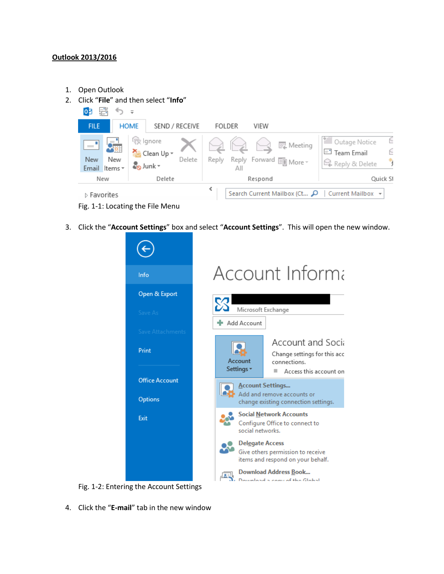## **Outlook 2013/2016**

- 1. Open Outlook
- 2. Click "**File**" and then select "**Info**"



3. Click the "**Account Settings**" box and select "**Account Settings**". This will open the new window.



Fig. 1-2: Entering the Account Settings

4. Click the "**E-mail**" tab in the new window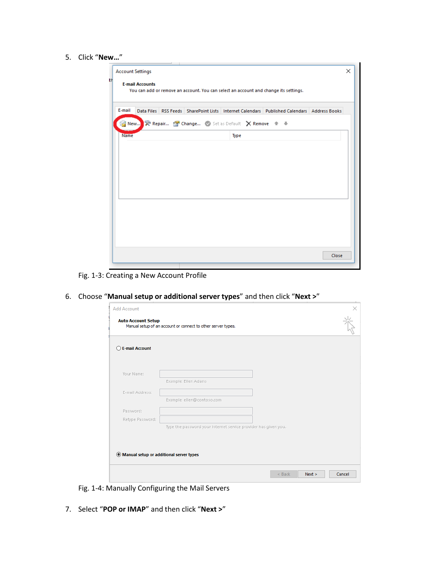5. Click "**New…**"

|    | <b>Account Settings</b>                                                                                        | × |
|----|----------------------------------------------------------------------------------------------------------------|---|
| tH | <b>E-mail Accounts</b><br>You can add or remove an account. You can select an account and change its settings. |   |
|    | E-mail<br>Data Files RSS Feeds SharePoint Lists Internet Calendars Published Calendars Address Books           |   |
|    | <b>New X</b> Repair <b>Professional Change</b> Set as Default X Remove $\pm$ +                                 |   |
|    | Name<br><b>Type</b>                                                                                            |   |
|    |                                                                                                                |   |
|    |                                                                                                                |   |
|    |                                                                                                                |   |
|    |                                                                                                                |   |
|    |                                                                                                                |   |
|    |                                                                                                                |   |
|    |                                                                                                                |   |
|    |                                                                                                                |   |
|    | Close                                                                                                          |   |

Fig. 1-3: Creating a New Account Profile

6. Choose "**Manual setup or additional server types**" and then click "**Next >**"

| <b>E-mail Account</b> |                                                                 |  |
|-----------------------|-----------------------------------------------------------------|--|
| Your Name:            |                                                                 |  |
|                       | Example: Ellen Adams                                            |  |
| E-mail Address:       |                                                                 |  |
|                       | Example: ellen@contoso.com                                      |  |
| Password:             |                                                                 |  |
| Retype Password:      |                                                                 |  |
|                       | Type the password your Internet service provider has given you. |  |
|                       |                                                                 |  |

Fig. 1-4: Manually Configuring the Mail Servers

7. Select "**POP or IMAP**" and then click "**Next >**"